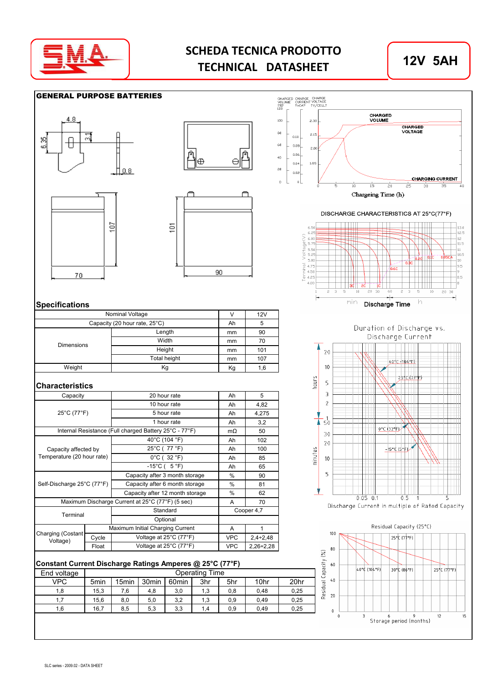

# **SCHEDA TECNICA PRODOTTO TECHNICAL DATASHEET**

















#### DISCHARGE CHARACTERISTICS AT 25°C(77°F)



### **Specifications**

| Nominal Voltage               |              | 12V |     |
|-------------------------------|--------------|-----|-----|
| Capacity (20 hour rate, 25°C) | Ah           | 5   |     |
|                               | Length       | mm  | 90  |
| Dimensions                    | Width        | mm  | 70  |
|                               | Height       | mm  | 101 |
|                               | Total height | mm  | 107 |
| Weight                        | Kg           | 1,6 |     |

#### **Characteristics**

| Capacity                      |       | 20 hour rate                                           | Ah         | 5           |
|-------------------------------|-------|--------------------------------------------------------|------------|-------------|
|                               |       | 10 hour rate                                           | Ah         | 4,82        |
| 25°C (77°F)                   |       | 5 hour rate                                            | Ah         | 4,275       |
|                               |       | 1 hour rate                                            | Ah         | 3,2         |
|                               |       | Internal Resistance (Full charged Battery 25°C - 77°F) | $m\Omega$  | 50          |
|                               |       | 40°C (104 °F)                                          | Ah         | 102         |
| Capacity affected by          |       | 25°C (77 °F)                                           | Ah         | 100         |
| Temperature (20 hour rate)    |       | $0^{\circ}$ C (32 $^{\circ}$ F)                        | Ah         | 85          |
|                               |       | $-15^{\circ}$ C (5 °F)                                 | Ah         | 65          |
|                               |       | Capacity after 3 month storage                         | $\%$       | 90          |
| Self-Discharge 25°C (77°F)    |       | Capacity after 6 month storage                         | %          | 81          |
|                               |       | Capacity after 12 month storage                        | %          | 62          |
|                               |       | Maximum Discharge Current at 25°C (77°F) (5 sec)       | A          | 70          |
| Terminal                      |       | Standard                                               | Cooper 4,7 |             |
|                               |       | Optional                                               |            |             |
|                               |       | Maximum Initial Charging Current                       | A          |             |
| Charging (Costant<br>Voltage) | Cycle | Voltage at 25°C (77°F)                                 | <b>VPC</b> | $2,4+2,48$  |
|                               | Float | Voltage at 25°C (77°F)                                 | <b>VPC</b> | $2,26+2,28$ |

### **Constant Current Discharge Ratings Amperes @ 25°C (77°F)**

| End voltage | <b>Operating Time</b> |                   |                   |                   |     |     |      |      |  |  |  |
|-------------|-----------------------|-------------------|-------------------|-------------------|-----|-----|------|------|--|--|--|
| VPC         | 5 <sub>min</sub>      | 15 <sub>min</sub> | 30 <sub>min</sub> | 60 <sub>min</sub> | 3hr | 5hr | 10hr | 20hr |  |  |  |
| 1,8         | 15,3                  | 7,6               | 4,8               | 3,0               | 1,3 | 0,8 | 0,48 | 0,25 |  |  |  |
| 1.7         | 15,6                  | 8,0               | 5,0               | 3,2               | 1,3 | 0,9 | 0.49 | 0,25 |  |  |  |
| 1.6         | 16,7                  | 8,5               | 5,3               | 3,3               | 1.4 | 0,9 | 0.49 | 0,25 |  |  |  |
|             |                       |                   |                   |                   |     |     |      |      |  |  |  |



 $0.05 - 0.1$  $0.5$ Discharge Current in multiple of Rated Capacity

Ł

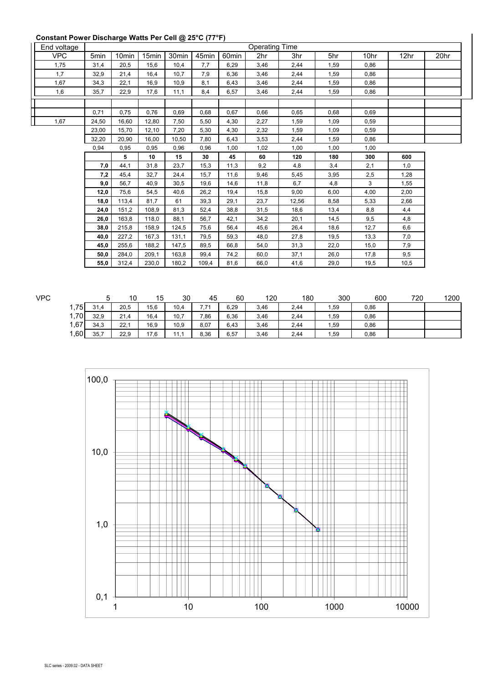## **Constant Power Discharge Watts Per Cell @ 25°C (77°F)**

| End voltage |       |                   |                   | ັ                 | $\sim$ $\sim$ $\sim$ $\sim$ $\sim$ |                   | <b>Operating Time</b> |       |      |      |      |      |
|-------------|-------|-------------------|-------------------|-------------------|------------------------------------|-------------------|-----------------------|-------|------|------|------|------|
| <b>VPC</b>  | 5min  | 10 <sub>min</sub> | 15 <sub>min</sub> | 30 <sub>min</sub> | 45min                              | 60 <sub>min</sub> | 2hr                   | 3hr   | 5hr  | 10hr | 12hr | 20hr |
| 1,75        | 31,4  | 20,5              | 15,6              | 10,4              | 7,7                                | 6,29              | 3,46                  | 2,44  | 1,59 | 0,86 |      |      |
| 1,7         | 32,9  | 21,4              | 16,4              | 10,7              | 7,9                                | 6,36              | 3,46                  | 2,44  | 1,59 | 0,86 |      |      |
| 1,67        | 34,3  | 22,1              | 16,9              | 10,9              | 8,1                                | 6,43              | 3.46                  | 2,44  | 1,59 | 0,86 |      |      |
| 1,6         | 35,7  | 22,9              | 17,6              | 11,1              | 8,4                                | 6,57              | 3,46                  | 2,44  | 1.59 | 0.86 |      |      |
|             |       |                   |                   |                   |                                    |                   |                       |       |      |      |      |      |
|             | 0,71  | 0,75              | 0,76              | 0,69              | 0,68                               | 0,67              | 0,66                  | 0,65  | 0,68 | 0,69 |      |      |
| 1,67        | 24,50 | 16.60             | 12.80             | 7,50              | 5.50                               | 4,30              | 2,27                  | 1,59  | 1,09 | 0,59 |      |      |
|             | 23,00 | 15,70             | 12,10             | 7,20              | 5,30                               | 4,30              | 2,32                  | 1,59  | 1,09 | 0,59 |      |      |
|             | 32,20 | 20.90             | 16.00             | 10.50             | 7.80                               | 6,43              | 3,53                  | 2,44  | 1,59 | 0,86 |      |      |
|             | 0,94  | 0,95              | 0,95              | 0,96              | 0,96                               | 1,00              | 1,02                  | 1,00  | 1,00 | 1,00 |      |      |
|             |       | 5                 | 10                | 15                | 30                                 | 45                | 60                    | 120   | 180  | 300  | 600  |      |
|             | 7,0   | 44.1              | 31,8              | 23,7              | 15,3                               | 11.3              | 9,2                   | 4,8   | 3,4  | 2,1  | 1,0  |      |
|             | 7,2   | 45.4              | 32.7              | 24.4              | 15.7                               | 11.6              | 9,46                  | 5,45  | 3,95 | 2,5  | 1,28 |      |
|             | 9,0   | 56,7              | 40.9              | 30,5              | 19,6                               | 14,6              | 11,8                  | 6,7   | 4,8  | 3    | 1,55 |      |
|             | 12,0  | 75,6              | 54,5              | 40,6              | 26,2                               | 19,4              | 15,8                  | 9,00  | 6,00 | 4,00 | 2,00 |      |
|             | 18,0  | 113,4             | 81,7              | 61                | 39,3                               | 29,1              | 23,7                  | 12,56 | 8,58 | 5,33 | 2,66 |      |
|             | 24,0  | 151,2             | 108,9             | 81,3              | 52,4                               | 38,8              | 31,5                  | 18,6  | 13,4 | 8,8  | 4,4  |      |
|             | 26,0  | 163,8             | 118,0             | 88,1              | 56,7                               | 42,1              | 34,2                  | 20,1  | 14,5 | 9,5  | 4,8  |      |
|             | 38,0  | 215,8             | 158,9             | 124,5             | 75,6                               | 56,4              | 45,6                  | 26,4  | 18,6 | 12,7 | 6,6  |      |
|             | 40,0  | 227,2             | 167.3             | 131.1             | 79,5                               | 59.3              | 48,0                  | 27,8  | 19,5 | 13,3 | 7,0  |      |
|             | 45,0  | 255,6             | 188.2             | 147,5             | 89,5                               | 66.8              | 54,0                  | 31,3  | 22,0 | 15,0 | 7,9  |      |
|             | 50,0  | 284,0             | 209,1             | 163,8             | 99,4                               | 74,2              | 60,0                  | 37,1  | 26,0 | 17,8 | 9,5  |      |
|             | 55,0  | 312,4             | 230.0             | 180,2             | 109,4                              | 81,6              | 66,0                  | 41,6  | 29,0 | 19,5 | 10,5 |      |

| VPC  | ັ    | 10   | 15   | 30   | 45   | 60   | 120  | 180  | 300  | 600  | 720 | 1200 |
|------|------|------|------|------|------|------|------|------|------|------|-----|------|
| 1,75 | 31,4 | 20,5 | 15,6 | 10,4 | 7.71 | 6,29 | 3,46 | 2,44 | .,59 | 0,86 |     |      |
| 1,70 | 32,9 | 21,4 | 16,4 | 10,7 | 7,86 | 6,36 | 3,46 | 2,44 | ,59  | 0.86 |     |      |
| 1,67 | 34,3 | 22,1 | 16,9 | 10,9 | 8,07 | 6,43 | 3,46 | 2,44 | , 59 | 0,86 |     |      |
| 1,60 | 35,7 | 22,9 | 17,6 | 11.1 | 8,36 | 6,57 | 3,46 | 2,44 | , 59 | 0,86 |     |      |